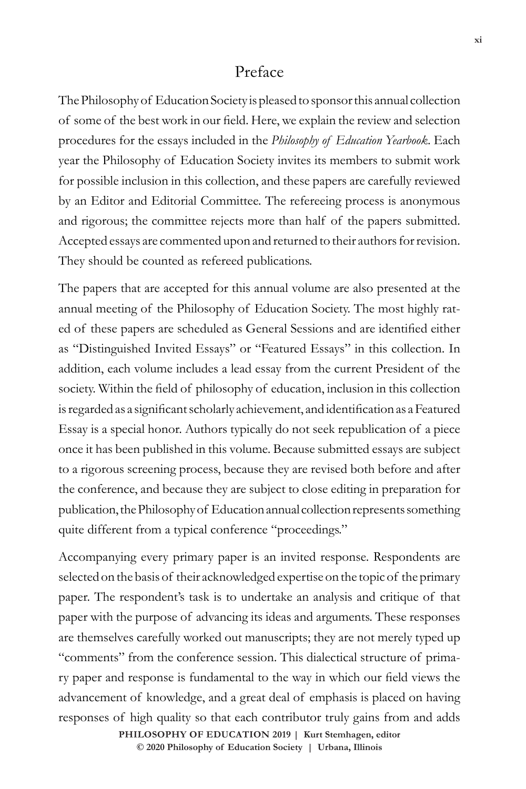## Preface

The Philosophy of Education Society is pleased to sponsor this annual collection of some of the best work in our field. Here, we explain the review and selection procedures for the essays included in the *Philosophy of Education Yearbook*. Each year the Philosophy of Education Society invites its members to submit work for possible inclusion in this collection, and these papers are carefully reviewed by an Editor and Editorial Committee. The refereeing process is anonymous and rigorous; the committee rejects more than half of the papers submitted. Accepted essays are commented upon and returned to their authors for revision. They should be counted as refereed publications.

The papers that are accepted for this annual volume are also presented at the annual meeting of the Philosophy of Education Society. The most highly rated of these papers are scheduled as General Sessions and are identified either as "Distinguished Invited Essays" or "Featured Essays" in this collection. In addition, each volume includes a lead essay from the current President of the society. Within the field of philosophy of education, inclusion in this collection is regarded as a significant scholarly achievement, and identification as a Featured Essay is a special honor. Authors typically do not seek republication of a piece once it has been published in this volume. Because submitted essays are subject to a rigorous screening process, because they are revised both before and after the conference, and because they are subject to close editing in preparation for publication, the Philosophy of Education annual collection represents something quite different from a typical conference "proceedings."

Accompanying every primary paper is an invited response. Respondents are selected on the basis of their acknowledged expertise on the topic of the primary paper. The respondent's task is to undertake an analysis and critique of that paper with the purpose of advancing its ideas and arguments. These responses are themselves carefully worked out manuscripts; they are not merely typed up "comments" from the conference session. This dialectical structure of primary paper and response is fundamental to the way in which our field views the advancement of knowledge, and a great deal of emphasis is placed on having responses of high quality so that each contributor truly gains from and adds

> $\circledcirc$  2020 Philosophy of Education Society | Urbana, Illinois **PHILOSOPHY OF EDUCATION 2019 | Kurt Stemhagen, editor**